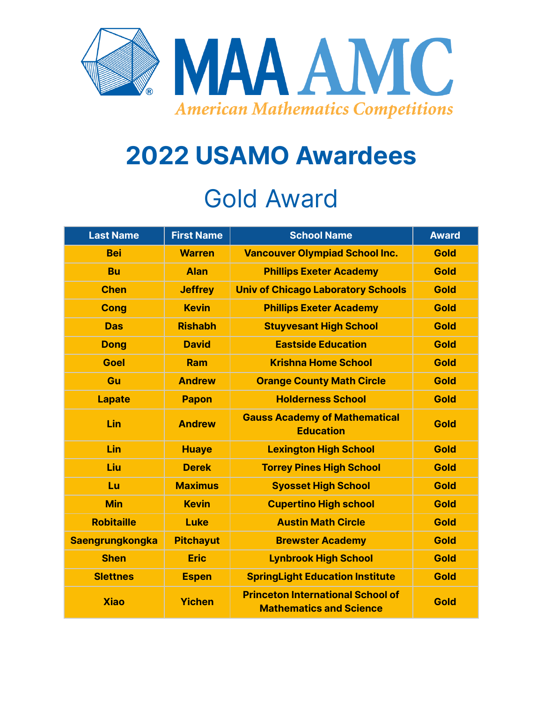

## **2022 USAMO Awardees** Gold Award

| <b>Last Name</b>       | <b>First Name</b> | <b>School Name</b>                                                         | <b>Award</b> |
|------------------------|-------------------|----------------------------------------------------------------------------|--------------|
| <b>Bei</b>             | <b>Warren</b>     | <b>Vancouver Olympiad School Inc.</b>                                      | <b>Gold</b>  |
| <b>Bu</b>              | <b>Alan</b>       | <b>Phillips Exeter Academy</b>                                             | <b>Gold</b>  |
| <b>Chen</b>            | <b>Jeffrey</b>    | <b>Univ of Chicago Laboratory Schools</b>                                  | <b>Gold</b>  |
| <b>Cong</b>            | <b>Kevin</b>      | <b>Phillips Exeter Academy</b>                                             | <b>Gold</b>  |
| <b>Das</b>             | <b>Rishabh</b>    | <b>Stuyvesant High School</b>                                              | <b>Gold</b>  |
| <b>Dong</b>            | <b>David</b>      | <b>Eastside Education</b>                                                  | <b>Gold</b>  |
| <b>Goel</b>            | Ram               | <b>Krishna Home School</b>                                                 | <b>Gold</b>  |
| Gu                     | <b>Andrew</b>     | <b>Orange County Math Circle</b>                                           | <b>Gold</b>  |
| <b>Lapate</b>          | <b>Papon</b>      | <b>Holderness School</b>                                                   | <b>Gold</b>  |
| Lin                    | <b>Andrew</b>     | <b>Gauss Academy of Mathematical</b><br><b>Education</b>                   | Gold         |
| Lin                    | <b>Huaye</b>      | <b>Lexington High School</b>                                               | <b>Gold</b>  |
| Liu                    | <b>Derek</b>      | <b>Torrey Pines High School</b>                                            | <b>Gold</b>  |
| Lu                     | <b>Maximus</b>    | <b>Syosset High School</b>                                                 | <b>Gold</b>  |
| <b>Min</b>             | <b>Kevin</b>      | <b>Cupertino High school</b>                                               | <b>Gold</b>  |
| <b>Robitaille</b>      | <b>Luke</b>       | <b>Austin Math Circle</b>                                                  | <b>Gold</b>  |
| <b>Saengrungkongka</b> | <b>Pitchayut</b>  | <b>Brewster Academy</b>                                                    | <b>Gold</b>  |
| <b>Shen</b>            | <b>Eric</b>       | <b>Lynbrook High School</b>                                                | <b>Gold</b>  |
| <b>Slettnes</b>        | <b>Espen</b>      | <b>SpringLight Education Institute</b>                                     | <b>Gold</b>  |
| <b>Xiao</b>            | <b>Yichen</b>     | <b>Princeton International School of</b><br><b>Mathematics and Science</b> | Gold         |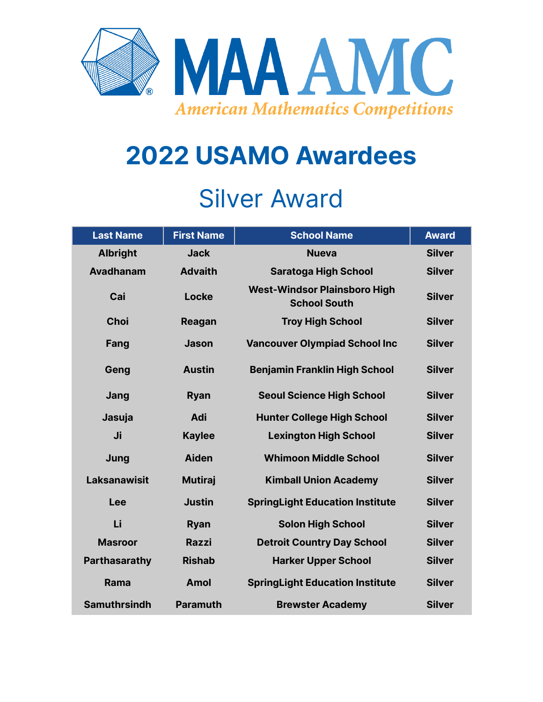

# **2022 USAMO Awardees**

#### Silver Award

| <b>Last Name</b>     | <b>First Name</b> | <b>School Name</b>                                         | <b>Award</b>  |
|----------------------|-------------------|------------------------------------------------------------|---------------|
| <b>Albright</b>      | <b>Jack</b>       | <b>Nueva</b>                                               | <b>Silver</b> |
| <b>Avadhanam</b>     | <b>Advaith</b>    | <b>Saratoga High School</b>                                | <b>Silver</b> |
| Cai                  | Locke             | <b>West-Windsor Plainsboro High</b><br><b>School South</b> | <b>Silver</b> |
| <b>Choi</b>          | Reagan            | <b>Troy High School</b>                                    | <b>Silver</b> |
| Fang                 | <b>Jason</b>      | <b>Vancouver Olympiad School Inc</b>                       | <b>Silver</b> |
| Geng                 | <b>Austin</b>     | <b>Benjamin Franklin High School</b>                       | <b>Silver</b> |
| Jang                 | <b>Ryan</b>       | <b>Seoul Science High School</b>                           | <b>Silver</b> |
| Jasuja               | Adi               | <b>Hunter College High School</b>                          | <b>Silver</b> |
| Ji                   | <b>Kaylee</b>     | <b>Lexington High School</b>                               | <b>Silver</b> |
| Jung                 | <b>Aiden</b>      | <b>Whimoon Middle School</b>                               | <b>Silver</b> |
| <b>Laksanawisit</b>  | <b>Mutiraj</b>    | <b>Kimball Union Academy</b>                               | <b>Silver</b> |
| Lee                  | <b>Justin</b>     | <b>SpringLight Education Institute</b>                     | <b>Silver</b> |
| Li                   | <b>Ryan</b>       | <b>Solon High School</b>                                   | <b>Silver</b> |
| <b>Masroor</b>       | <b>Razzi</b>      | <b>Detroit Country Day School</b>                          | <b>Silver</b> |
| <b>Parthasarathy</b> | <b>Rishab</b>     | <b>Harker Upper School</b>                                 | <b>Silver</b> |
| Rama                 | <b>Amol</b>       | <b>SpringLight Education Institute</b>                     | <b>Silver</b> |
| <b>Samuthrsindh</b>  | <b>Paramuth</b>   | <b>Brewster Academy</b>                                    | <b>Silver</b> |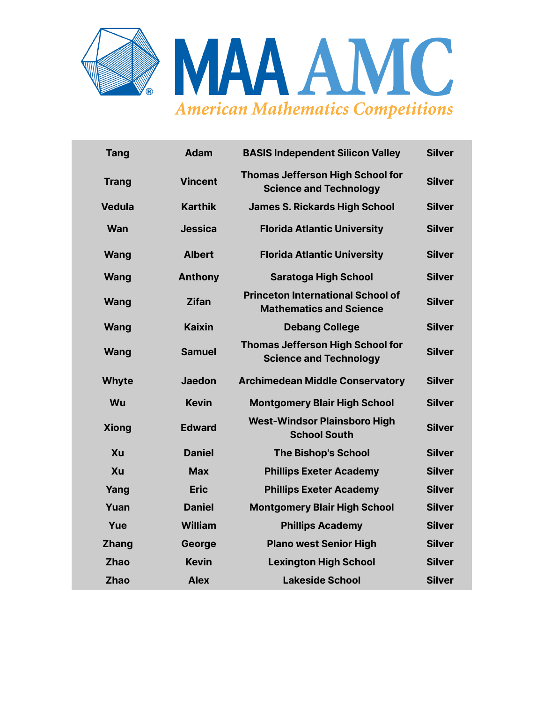

| <b>Tang</b>   | <b>Adam</b>    | <b>BASIS Independent Silicon Valley</b>                                    | <b>Silver</b> |
|---------------|----------------|----------------------------------------------------------------------------|---------------|
| <b>Trang</b>  | <b>Vincent</b> | <b>Thomas Jefferson High School for</b><br><b>Science and Technology</b>   | <b>Silver</b> |
| <b>Vedula</b> | <b>Karthik</b> | <b>James S. Rickards High School</b>                                       | <b>Silver</b> |
| <b>Wan</b>    | <b>Jessica</b> | <b>Florida Atlantic University</b>                                         | <b>Silver</b> |
| Wang          | <b>Albert</b>  | <b>Florida Atlantic University</b>                                         | <b>Silver</b> |
| Wang          | <b>Anthony</b> | <b>Saratoga High School</b>                                                | <b>Silver</b> |
| Wang          | <b>Zifan</b>   | <b>Princeton International School of</b><br><b>Mathematics and Science</b> | <b>Silver</b> |
| <b>Wang</b>   | <b>Kaixin</b>  | <b>Debang College</b>                                                      | <b>Silver</b> |
| Wang          | <b>Samuel</b>  | <b>Thomas Jefferson High School for</b><br><b>Science and Technology</b>   | <b>Silver</b> |
| <b>Whyte</b>  | <b>Jaedon</b>  | <b>Archimedean Middle Conservatory</b>                                     | <b>Silver</b> |
| Wu            | <b>Kevin</b>   | <b>Montgomery Blair High School</b>                                        | <b>Silver</b> |
| <b>Xiong</b>  | <b>Edward</b>  | <b>West-Windsor Plainsboro High</b><br><b>School South</b>                 | <b>Silver</b> |
| Xu            | <b>Daniel</b>  | <b>The Bishop's School</b>                                                 | <b>Silver</b> |
| Xu            | <b>Max</b>     | <b>Phillips Exeter Academy</b>                                             | <b>Silver</b> |
| Yang          | <b>Eric</b>    | <b>Phillips Exeter Academy</b>                                             | <b>Silver</b> |
| Yuan          | <b>Daniel</b>  | <b>Montgomery Blair High School</b>                                        | <b>Silver</b> |
| Yue           | <b>William</b> | <b>Phillips Academy</b>                                                    | <b>Silver</b> |
| <b>Zhang</b>  | George         | <b>Plano west Senior High</b>                                              | <b>Silver</b> |
| <b>Zhao</b>   | <b>Kevin</b>   | <b>Lexington High School</b>                                               | <b>Silver</b> |
| <b>Zhao</b>   | <b>Alex</b>    | <b>Lakeside School</b>                                                     | <b>Silver</b> |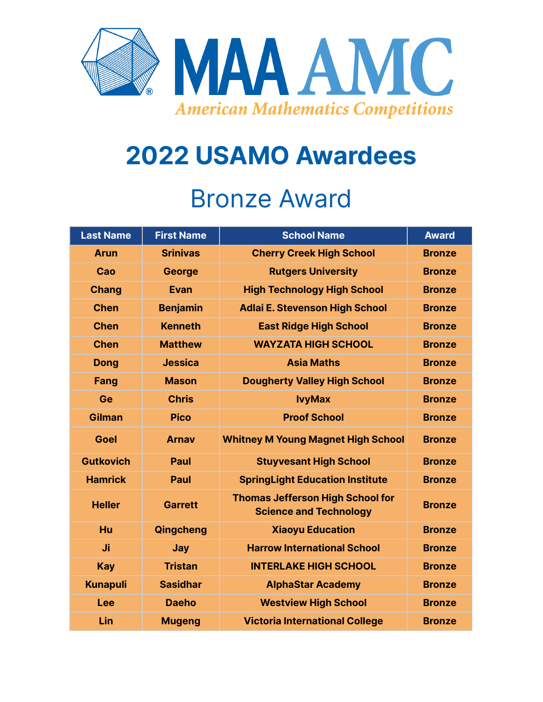

### **2022 USAMO Awardees**

#### Bronze Award

| <b>Last Name</b> | <b>First Name</b> | <b>School Name</b>                                                       | <b>Award</b>  |
|------------------|-------------------|--------------------------------------------------------------------------|---------------|
| <b>Arun</b>      | <b>Srinivas</b>   | <b>Cherry Creek High School</b>                                          | <b>Bronze</b> |
| Cao              | <b>George</b>     | <b>Rutgers University</b>                                                | <b>Bronze</b> |
| <b>Chang</b>     | <b>Evan</b>       | <b>High Technology High School</b>                                       | <b>Bronze</b> |
| <b>Chen</b>      | <b>Benjamin</b>   | <b>Adlai E. Stevenson High School</b>                                    | <b>Bronze</b> |
| <b>Chen</b>      | <b>Kenneth</b>    | <b>East Ridge High School</b>                                            | <b>Bronze</b> |
| <b>Chen</b>      | <b>Matthew</b>    | <b>WAYZATA HIGH SCHOOL</b>                                               | <b>Bronze</b> |
| <b>Dong</b>      | <b>Jessica</b>    | <b>Asia Maths</b>                                                        | <b>Bronze</b> |
| Fang             | <b>Mason</b>      | <b>Dougherty Valley High School</b>                                      | <b>Bronze</b> |
| Ge               | <b>Chris</b>      | <b>lvyMax</b>                                                            | <b>Bronze</b> |
| Gilman           | <b>Pico</b>       | <b>Proof School</b>                                                      | <b>Bronze</b> |
| <b>Goel</b>      | <b>Arnav</b>      | <b>Whitney M Young Magnet High School</b>                                | <b>Bronze</b> |
| <b>Gutkovich</b> | <b>Paul</b>       | <b>Stuyvesant High School</b>                                            | <b>Bronze</b> |
| <b>Hamrick</b>   | <b>Paul</b>       | <b>SpringLight Education Institute</b>                                   | <b>Bronze</b> |
| <b>Heller</b>    | <b>Garrett</b>    | <b>Thomas Jefferson High School for</b><br><b>Science and Technology</b> | <b>Bronze</b> |
| Hu               | Qingcheng         | <b>Xiaoyu Education</b>                                                  | <b>Bronze</b> |
| Ji               | Jay               | <b>Harrow International School</b>                                       | <b>Bronze</b> |
| <b>Kay</b>       | <b>Tristan</b>    | <b>INTERLAKE HIGH SCHOOL</b>                                             | <b>Bronze</b> |
| <b>Kunapuli</b>  | <b>Sasidhar</b>   | <b>AlphaStar Academy</b>                                                 | <b>Bronze</b> |
| <b>Lee</b>       | <b>Daeho</b>      | <b>Westview High School</b>                                              | <b>Bronze</b> |
| Lin              | <b>Mugeng</b>     | <b>Victoria International College</b>                                    | <b>Bronze</b> |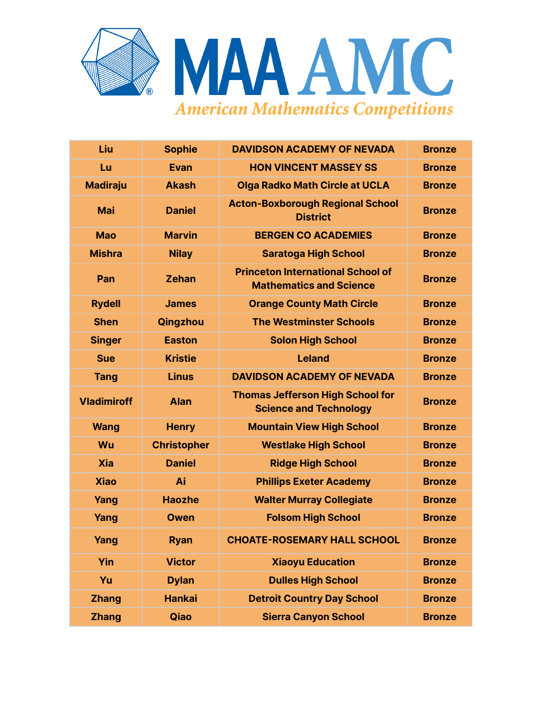

| Liu                | <b>Sophie</b>      | <b>DAVIDSON ACADEMY OF NEVADA</b>                                          | <b>Bronze</b> |
|--------------------|--------------------|----------------------------------------------------------------------------|---------------|
| Lu                 | <b>Evan</b>        | <b>HON VINCENT MASSEY SS</b>                                               | <b>Bronze</b> |
| <b>Madiraju</b>    | <b>Akash</b>       | <b>Olga Radko Math Circle at UCLA</b>                                      | <b>Bronze</b> |
| <b>Mai</b>         | <b>Daniel</b>      | <b>Acton-Boxborough Regional School</b><br><b>District</b>                 | <b>Bronze</b> |
| <b>Mao</b>         | <b>Marvin</b>      | <b>BERGEN CO ACADEMIES</b>                                                 | <b>Bronze</b> |
| <b>Mishra</b>      | <b>Nilay</b>       | <b>Saratoga High School</b>                                                | <b>Bronze</b> |
| Pan                | <b>Zehan</b>       | <b>Princeton International School of</b><br><b>Mathematics and Science</b> | <b>Bronze</b> |
| <b>Rydell</b>      | <b>James</b>       | <b>Orange County Math Circle</b>                                           | <b>Bronze</b> |
| <b>Shen</b>        | Qingzhou           | <b>The Westminster Schools</b>                                             | <b>Bronze</b> |
| <b>Singer</b>      | <b>Easton</b>      | <b>Solon High School</b>                                                   | <b>Bronze</b> |
| <b>Sue</b>         | <b>Kristie</b>     | <b>Leland</b>                                                              | <b>Bronze</b> |
| <b>Tang</b>        | <b>Linus</b>       | <b>DAVIDSON ACADEMY OF NEVADA</b>                                          | <b>Bronze</b> |
| <b>Vladimiroff</b> | <b>Alan</b>        | <b>Thomas Jefferson High School for</b><br><b>Science and Technology</b>   | <b>Bronze</b> |
| <b>Wang</b>        | <b>Henry</b>       | <b>Mountain View High School</b>                                           | <b>Bronze</b> |
| Wu                 | <b>Christopher</b> | <b>Westlake High School</b>                                                | <b>Bronze</b> |
| <b>Xia</b>         | <b>Daniel</b>      | <b>Ridge High School</b>                                                   | <b>Bronze</b> |
| <b>Xiao</b>        | Ai                 | <b>Phillips Exeter Academy</b>                                             | <b>Bronze</b> |
| Yang               | <b>Haozhe</b>      | <b>Walter Murray Collegiate</b>                                            | <b>Bronze</b> |
| Yang               | <b>Owen</b>        | <b>Folsom High School</b>                                                  | <b>Bronze</b> |
| Yang               | <b>Ryan</b>        | <b>CHOATE-ROSEMARY HALL SCHOOL</b>                                         | <b>Bronze</b> |
| Yin                | <b>Victor</b>      | <b>Xiaoyu Education</b>                                                    | <b>Bronze</b> |
| Yu                 | <b>Dylan</b>       | <b>Dulles High School</b>                                                  | <b>Bronze</b> |
| <b>Zhang</b>       | <b>Hankai</b>      | <b>Detroit Country Day School</b>                                          | <b>Bronze</b> |
| <b>Zhang</b>       | Qiao               | <b>Sierra Canyon School</b>                                                | <b>Bronze</b> |